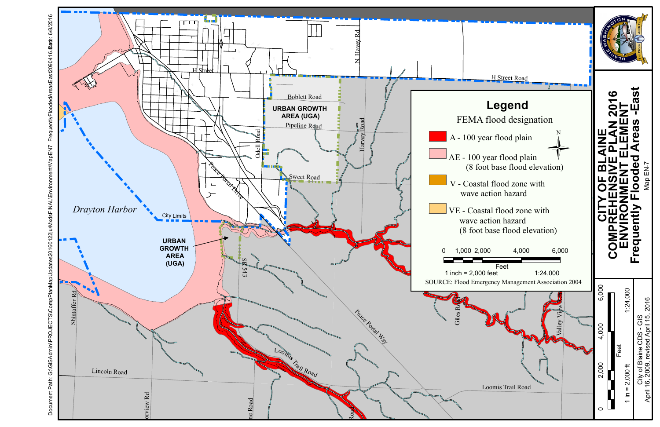